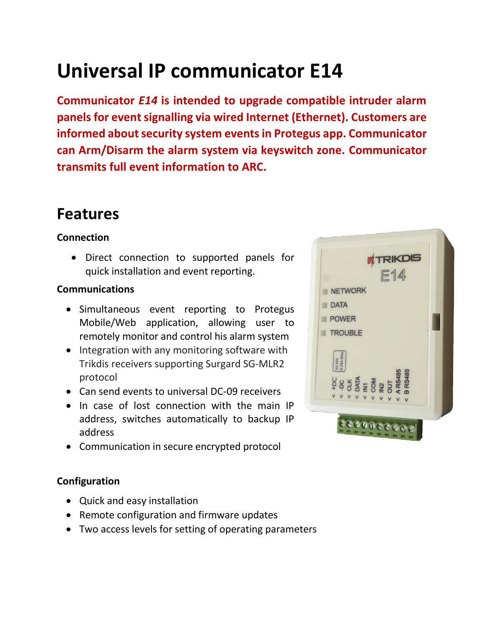# **Universal IP communicator E14**

**Communicator** *E14* **is intended to upgrade compatible intruder alarm panels for event signalling via wired Internet (Ethernet). Customers are informed about security system events in Protegus app. Communicator can Arm/Disarm the alarm system via keyswitch zone. Communicator transmits full event information to ARC.**

### **Features**

#### **Connection**

 Direct connection to supported panels for quick installation and event reporting.

#### **Communications**

- Simultaneous event reporting to Protegus Mobile/Web application, allowing user to remotely monitor and control his alarm system
- Integration with any monitoring software with Trikdis receivers supporting Surgard SG-MLR2 protocol
- Can send events to universal DC-09 receivers
- In case of lost connection with the main IP address, switches automatically to backup IP address
- Communication in secure encrypted protocol

#### **Configuration**

- Quick and easy installation
- Remote configuration and firmware updates
- Two access levels for setting of operating parameters